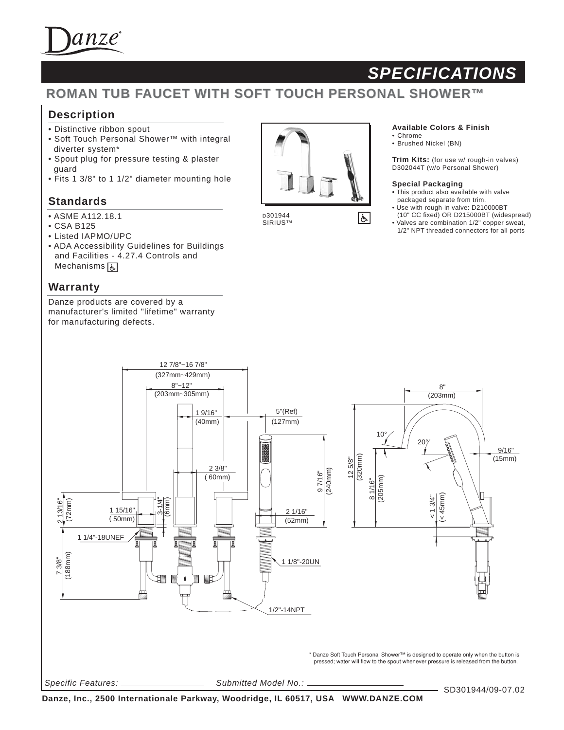

# *SPECIFICATIONS*

## **ROMAN TUB FAUCET WITH SOFT TOUCH PERSONAL SHOWER™**

## **Description**

- Distinctive ribbon spout
- Soft Touch Personal Shower™ with integral diverter system\*
- Spout plug for pressure testing & plaster guard
- Fits 1 3/8" to 1 1/2" diameter mounting hole

### **Standards**

- ASME A112.18.1
- CSA B125
- Listed IAPMO/UPC
- ADA Accessibility Guidelines for Buildings and Facilities - 4.27.4 Controls and Mechanisms **[A]**

### **Warranty**

Danze products are covered by a manufacturer's limited "lifetime" warranty for manufacturing defects.



 $|\dot{\mathbf{t}}|$ 

D301944 SIRIUS™

#### **Available Colors & Finish**

• Chrome • Brushed Nickel (BN)

**Trim Kits:** (for use w/ rough-in valves) D302044T (w/o Personal Shower)

#### **Special Packaging**

- This product also available with valve packaged separate from trim.
- Use with rough-in valve: D210000BT (10" CC fixed) OR D215000BT (widespread)
- Valves are combination 1/2" copper sweat, 1/2" NPT threaded connectors for all ports